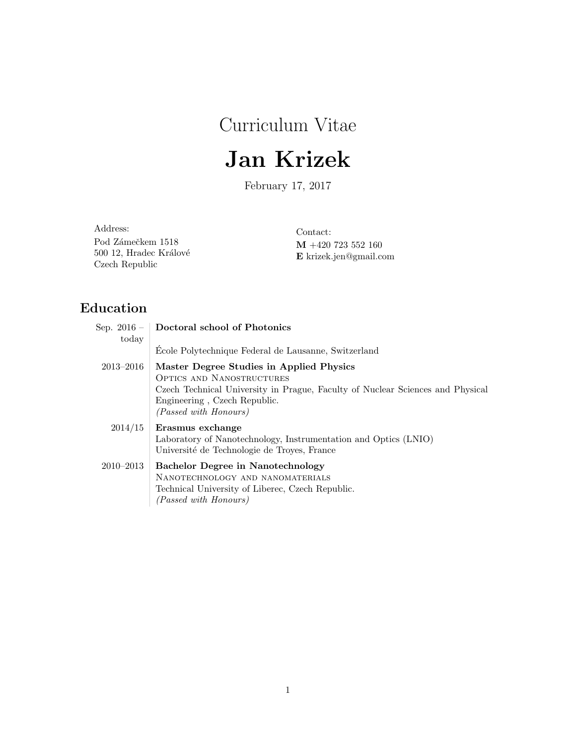## Curriculum Vitae

# Jan Krizek

February 17, 2017

| Address:                                                      | Contact:                                                  |
|---------------------------------------------------------------|-----------------------------------------------------------|
| Pod Zámečkem 1518<br>500 12, Hradec Králové<br>Czech Republic | $\mathbf{M}$ +420 723 552 160<br>$E$ krizek.jen@gmail.com |

#### Education

| Sep. $2016 -$ | Doctoral school of Photonics                                                                                                                                                                                            |
|---------------|-------------------------------------------------------------------------------------------------------------------------------------------------------------------------------------------------------------------------|
| today         | Ecole Polytechnique Federal de Lausanne, Switzerland                                                                                                                                                                    |
| $2013 - 2016$ | Master Degree Studies in Applied Physics<br><b>OPTICS AND NANOSTRUCTURES</b><br>Czech Technical University in Prague, Faculty of Nuclear Sciences and Physical<br>Engineering, Czech Republic.<br>(Passed with Honours) |
| 2014/15       | Erasmus exchange<br>Laboratory of Nanotechnology, Instrumentation and Optics (LNIO)<br>Université de Technologie de Troyes, France                                                                                      |
| $2010 - 2013$ | <b>Bachelor Degree in Nanotechnology</b><br>NANOTECHNOLOGY AND NANOMATERIALS<br>Technical University of Liberec, Czech Republic.<br>(Passed with Honours)                                                               |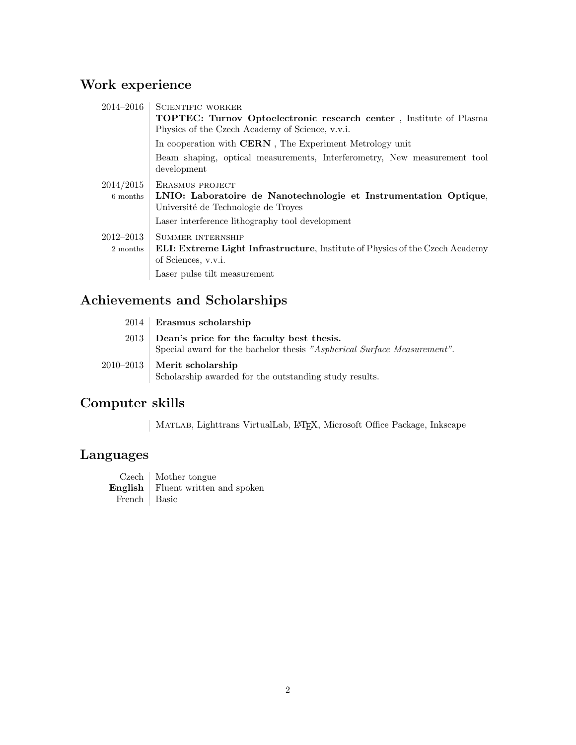### Work experience

| $2014 - 2016$ | <b>SCIENTIFIC WORKER</b>                                                                                |
|---------------|---------------------------------------------------------------------------------------------------------|
|               | <b>TOPTEC:</b> Turnov Optoelectronic research center, Institute of Plasma                               |
|               | Physics of the Czech Academy of Science, v.v.i.                                                         |
|               | In cooperation with CERN, The Experiment Metrology unit                                                 |
|               | Beam shaping, optical measurements, Interferometry, New measurement tool<br>development                 |
| 2014/2015     | ERASMUS PROJECT                                                                                         |
| 6 months      | LNIO: Laboratoire de Nanotechnologie et Instrumentation Optique,<br>Université de Technologie de Troyes |
|               | Laser interference lithography tool development                                                         |
| $2012 - 2013$ | SUMMER INTERNSHIP                                                                                       |
| 2 months      | <b>ELI:</b> Extreme Light Infrastructure, Institute of Physics of the Czech Academy                     |
|               | of Sciences, v.v.i.                                                                                     |
|               | Laser pulse tilt measurement                                                                            |

## Achievements and Scholarships

|           | $2014$ Erasmus scholarship                                                                                           |
|-----------|----------------------------------------------------------------------------------------------------------------------|
| 2013      | Dean's price for the faculty best thesis.<br>Special award for the bachelor thesis "Aspherical Surface Measurement". |
| 2010–2013 | Merit scholarship<br>Scholarship awarded for the outstanding study results.                                          |

#### Computer skills

 $\mid$  MATLAB, Lighttrans VirtualLab, L<sup>AT</sup>EX, Microsoft Office Package, Inkscape

#### Languages

|                | Czech   Mother tongue                      |
|----------------|--------------------------------------------|
|                | <b>English</b>   Fluent written and spoken |
| French   Basic |                                            |